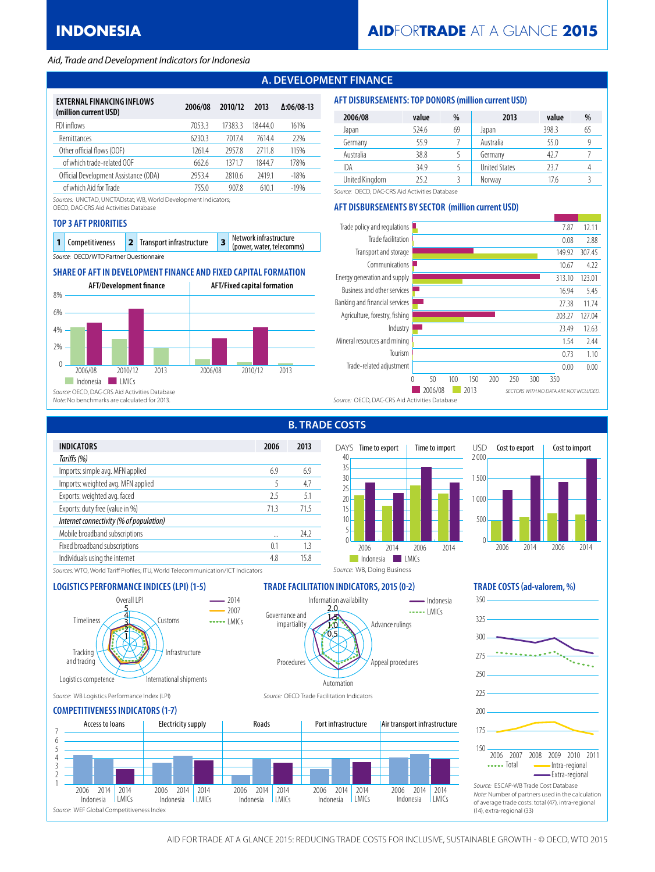#### *Aid, Trade and Development Indicators for Indonesia*

# **A. DEVELOPMENT FINANCE**

| EXTERNAL FINANCING INFLOWS<br>(million current USD) | 2006/08 | 2010/12 | 2013   | $\Delta:06/08-13$ |
|-----------------------------------------------------|---------|---------|--------|-------------------|
| FDI inflows                                         | 70533   | 17383.3 | 184440 | 161%              |
| Remittances                                         | 6230.3  | 70174   | 76144  | 22%               |
| Other official flows (OOF)                          | 12614   | 29578   | 27118  | 115%              |
| of which trade-related OOF                          | 662.6   | 13717   | 18447  | 178%              |
| Official Development Assistance (ODA)               | 29534   | 2810.6  | 24191  | $-18%$            |
| of which Aid for Trade                              | 7550    | 9078    | 6101   | $-19%$            |

*Sources:* UNCTAD, UNCTADstat; WB, World Development Indicators;

OECD, DAC-CRS Aid Activities Database

#### **TOP 3 AFT PRIORITIES**

|                                        | 1 Competitiveness |  | 2 Transport infrastructure |  | $\sqrt{2}$ Network infrastructure<br>(power, water, telecomms) |  |  |
|----------------------------------------|-------------------|--|----------------------------|--|----------------------------------------------------------------|--|--|
| Source: OECD/WTO Partner Ouestionnaire |                   |  |                            |  |                                                                |  |  |

## **SHARE OF AFT IN DEVELOPMENT FINANCE AND FIXED CAPITAL FORMATION**



| 2006/08        | value | %  | 2013                 | value | %  |
|----------------|-------|----|----------------------|-------|----|
| Japan          | 524.6 | 69 | Japan                | 398.3 | 65 |
| Germany        | 55.9  |    | Australia            | 55.0  |    |
| Australia      | 38.8  |    | Germany              | 42.7  |    |
| <b>IDA</b>     | 34.9  |    | <b>United States</b> | 23.7  |    |
| United Kingdom | 25 Z  |    | Norway               | 176   |    |

*Source:* OECD, DAC-CRS Aid Activities Database

## **AFT DISBURSEMENTS BY SECTOR (million current USD)**

**AFT DISBURSEMENTS: TOP DONORS (million current USD)**



|                                         |      | .           |
|-----------------------------------------|------|-------------|
| <b>INDICATORS</b>                       | 2006 | 2013        |
| Tariffs (%)                             |      |             |
| Imports: simple avg. MFN applied        | 6.9  | 6.9         |
| Imports: weighted avg. MFN applied      | 5    | 4.7         |
| Exports: weighted avg. faced            | 25   | 5.1         |
| Exports: duty free (value in %)         | 71.3 | 71.5        |
| Internet connectivity (% of population) |      |             |
| Mobile broadband subscriptions          |      | <b>24.2</b> |
| Fixed broadband subscriptions           | 0.1  | 13          |
| Individuals using the internet          | 4.8  | 15.8        |
|                                         |      |             |

# **B. TRADE COSTS**

Information availability

 $6.5$ 1.0 1.5 2.0

Automation



Advance rulings

*Source:* WB, Doing Business

 $\frac{1}{2}$ - Indonesia

Appeal procedures



*Sources:* WTO, World Tariff Profiles; ITU, World Telecommunication/ICT Indicators

## **LOGISTICS PERFORMANCE INDICES (LPI) (1-5) TRADE FACILITATION INDICATORS, 2015 (0-2) TRADE COSTS (ad-valorem, %)**



*Source:* WB Logistics Performance Index (LPI) *Source:* OECD Trade Facilitation Indicators

## **COMPETITIVENESS INDICATORS (1-7)**



Procedures

Governance and impartiality



of average trade costs: total (47), intra-regional (14), extra-regional (33)